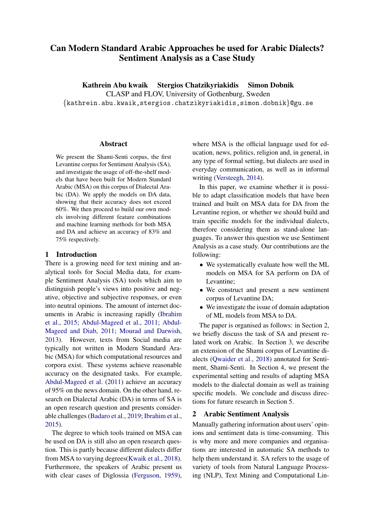# Can Modern Standard Arabic Approaches be used for Arabic Dialects? Sentiment Analysis as a Case Study

Kathrein Abu kwaik Stergios Chatzikyriakidis Simon Dobnik

CLASP and FLOV, University of Gothenburg, Sweden

{kathrein.abu.kwaik,stergios.chatzikyriakidis,simon.dobnik}@gu.se

# Abstract

We present the Shami-Senti corpus, the first Levantine corpus for Sentiment Analysis (SA), and investigate the usage of off-the-shelf models that have been built for Modern Standard Arabic (MSA) on this corpus of Dialectal Arabic (DA). We apply the models on DA data, showing that their accuracy does not exceed 60%. We then proceed to build our own models involving different feature combinations and machine learning methods for both MSA and DA and achieve an accuracy of 83% and 75% respectively.

# 1 Introduction

There is a growing need for text mining and analytical tools for Social Media data, for example Sentiment Analysis (SA) tools which aim to distinguish people's views into positive and negative, objective and subjective responses, or even into neutral opinions. The amount of internet documents in Arabic is increasing rapidly [\(Ibrahim](#page-9-0) [et al.,](#page-9-0) [2015;](#page-9-0) [Abdul-Mageed et al.,](#page-8-0) [2011;](#page-8-0) [Abdul-](#page-8-1)[Mageed and Diab,](#page-8-1) [2011;](#page-8-1) [Mourad and Darwish,](#page-9-1) [2013\)](#page-9-1). However, texts from Social media are typically not written in Modern Standard Arabic (MSA) for which computational resources and corpora exist. These systems achieve reasonable accuracy on the designated tasks. For example, [Abdul-Mageed et al.](#page-8-0) [\(2011\)](#page-8-0) achieve an accuracy of 95% on the news domain. On the other hand, research on Dialectal Arabic (DA) in terms of SA is an open research question and presents considerable challenges [\(Badaro et al.,](#page-8-2) [2019;](#page-8-2) [Ibrahim et al.,](#page-9-0) [2015\)](#page-9-0).

The degree to which tools trained on MSA can be used on DA is still also an open research question. This is partly because different dialects differ from MSA to varying degrees[\(Kwaik et al.,](#page-9-2) [2018\)](#page-9-2). Furthermore, the speakers of Arabic present us with clear cases of Diglossia [\(Ferguson,](#page-9-3) [1959\)](#page-9-3),

where MSA is the official language used for education, news, politics, religion and, in general, in any type of formal setting, but dialects are used in everyday communication, as well as in informal writing [\(Versteegh,](#page-10-0) [2014\)](#page-10-0).

In this paper, we examine whether it is possible to adapt classification models that have been trained and built on MSA data for DA from the Levantine region, or whether we should build and train specific models for the individual dialects, therefore considering them as stand-alone languages. To answer this question we use Sentiment Analysis as a case study. Our contributions are the following:

- We systematically evaluate how well the ML models on MSA for SA perform on DA of Levantine;
- We construct and present a new sentiment corpus of Levantine DA;
- We investigate the issue of domain adaptation of ML models from MSA to DA.

The paper is organised as follows: in Section 2, we briefly discuss the task of SA and present related work on Arabic. In Section 3, we describe an extension of the Shami corpus of Levantine dialects [\(Qwaider et al.,](#page-9-4) [2018\)](#page-9-4) annotated for Sentiment, Shami-Senti. In Section 4, we present the experimental setting and results of adapting MSA models to the dialectal domain as well as training specific models. We conclude and discuss directions for future research in Section 5.

# 2 Arabic Sentiment Analysis

Manually gathering information about users' opinions and sentiment data is time-consuming. This is why more and more companies and organisations are interested in automatic SA methods to help them understand it. SA refers to the usage of variety of tools from Natural Language Processing (NLP), Text Mining and Computational Lin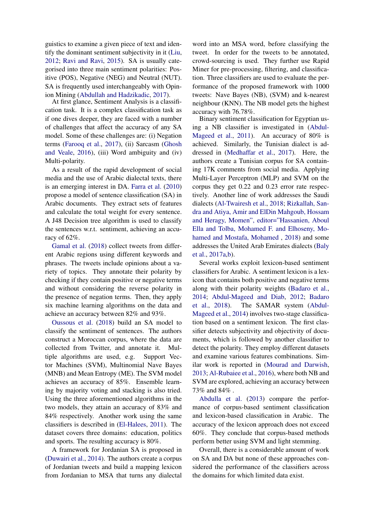guistics to examine a given piece of text and identify the dominant sentiment subjectivity in it [\(Liu,](#page-9-5) [2012;](#page-9-5) [Ravi and Ravi,](#page-9-6) [2015\)](#page-9-6). SA is usually categorised into three main sentiment polarities: Positive (POS), Negative (NEG) and Neutral (NUT). SA is frequently used interchangeably with Opinion Mining [\(Abdullah and Hadzikadic,](#page-8-3) [2017\)](#page-8-3).

At first glance, Sentiment Analysis is a classification task. It is a complex classification task as if one dives deeper, they are faced with a number of challenges that affect the accuracy of any SA model. Some of these challenges are: (i) Negation terms [\(Farooq et al.,](#page-8-4) [2017\)](#page-8-4), (ii) Sarcasm [\(Ghosh](#page-9-7) [and Veale,](#page-9-7) [2016\)](#page-9-7), (iii) Word ambiguity and (iv) Multi-polarity.

As a result of the rapid development of social media and the use of Arabic dialectal texts, there is an emerging interest in DA. [Farra et al.](#page-9-8) [\(2010\)](#page-9-8) propose a model of sentence classification (SA) in Arabic documents. They extract sets of features and calculate the total weight for every sentence. A J48 Decision tree algorithm is used to classify the sentences w.r.t. sentiment, achieving an accuracy of 62%.

[Gamal et al.](#page-9-9) [\(2018\)](#page-9-9) collect tweets from different Arabic regions using different keywords and phrases. The tweets include opinions about a variety of topics. They annotate their polarity by checking if they contain positive or negative terms and without considering the reverse polarity in the presence of negation terms. Then, they apply six machine learning algorithms on the data and achieve an accuracy between 82% and 93%.

[Oussous et al.](#page-9-10) [\(2018\)](#page-9-10) build an SA model to classify the sentiment of sentences. The authors construct a Moroccan corpus, where the data are collected from Twitter, and annotate it. Multiple algorithms are used, e.g. Support Vector Machines (SVM), Multinomial Nave Bayes (MNB) and Mean Entropy (ME). The SVM model achieves an accuracy of 85%. Ensemble learning by majority voting and stacking is also tried. Using the three aforementioned algorithms in the two models, they attain an accuracy of 83% and 84% respectively. Another work using the same classifiers is described in [\(El-Halees,](#page-8-5) [2011\)](#page-8-5). The dataset covers three domains: education, politics and sports. The resulting accuracy is 80%.

A framework for Jordanian SA is proposed in [\(Duwairi et al.,](#page-8-6) [2014\)](#page-8-6). The authors create a corpus of Jordanian tweets and build a mapping lexicon from Jordanian to MSA that turns any dialectal

word into an MSA word, before classifying the tweet. In order for the tweets to be annotated, crowd-sourcing is used. They further use Rapid Miner for pre-processing, filtering, and classification. Three classifiers are used to evaluate the performance of the proposed framework with 1000 tweets: Nave Bayes (NB), (SVM) and k-nearest neighbour (KNN). The NB model gets the highest accuracy with 76.78%.

Binary sentiment classification for Egyptian using a NB classifier is investigated in [\(Abdul-](#page-8-0)[Mageed et al.,](#page-8-0) [2011\)](#page-8-0). An accuracy of 80% is achieved. Similarly, the Tunisian dialect is addressed in [\(Medhaffar et al.,](#page-9-11) [2017\)](#page-9-11). Here, the authors create a Tunisian corpus for SA containing 17K comments from social media. Applying Multi-Layer Perceptron (MLP) and SVM on the corpus they get 0.22 and 0.23 error rate respectively. Another line of work addresses the Saudi dialects [\(Al-Twairesh et al.,](#page-8-7) [2018;](#page-8-7) [Rizkallah, San](#page-9-12)[dra and Atiya, Amir and ElDin Mahgoub, Hossam](#page-9-12) [and Heragy, Momen", editor="Hassanien, Aboul](#page-9-12) [Ella and Tolba, Mohamed F. and Elhoseny, Mo](#page-9-12)[hamed and Mostafa, Mohamed](#page-9-12) , [2018\)](#page-9-12) and some addresses the United Arab Emirates dialects [\(Baly](#page-8-8) [et al.,](#page-8-8) [2017a,](#page-8-8)[b\)](#page-8-9).

Several works exploit lexicon-based sentiment classifiers for Arabic. A sentiment lexicon is a lexicon that contains both positive and negative terms along with their polarity weights [\(Badaro et al.,](#page-8-10) [2014;](#page-8-10) [Abdul-Mageed and Diab,](#page-8-11) [2012;](#page-8-11) [Badaro](#page-8-12) [et al.,](#page-8-12) [2018\)](#page-8-12). The SAMAR system [\(Abdul-](#page-8-13)[Mageed et al.,](#page-8-13) [2014\)](#page-8-13) involves two-stage classification based on a sentiment lexicon. The first classifier detects subjectivity and objectivity of documents, which is followed by another classifier to detect the polarity. They employ different datasets and examine various features combinations. Similar work is reported in [\(Mourad and Darwish,](#page-9-1) [2013;](#page-9-1) [Al-Rubaiee et al.,](#page-8-14) [2016\)](#page-8-14), where both NB and SVM are explored, achieving an accuracy between 73% and 84% .

[Abdulla et al.](#page-8-15) [\(2013\)](#page-8-15) compare the performance of corpus-based sentiment classification and lexicon-based classification in Arabic. The accuracy of the lexicon approach does not exceed 60%. They conclude that corpus-based methods perform better using SVM and light stemming.

Overall, there is a considerable amount of work on SA and DA but none of these approaches considered the performance of the classifiers across the domains for which limited data exist.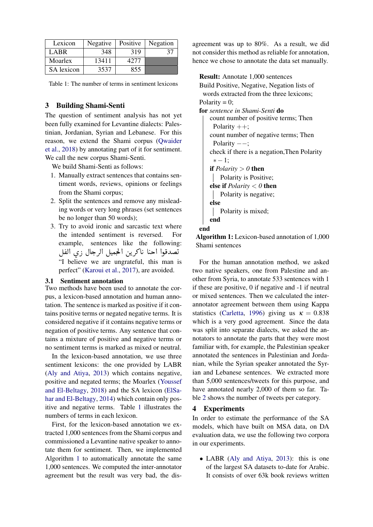<span id="page-2-0"></span>

| Lexicon    | Negative | Positive | Negation |
|------------|----------|----------|----------|
| LABR       | 348      | 319      | 37       |
| Moarlex    | 13411    | 4277     |          |
| SA lexicon | 3537     | 855      |          |

Table 1: The number of terms in sentiment lexicons

# 3 Building Shami-Senti

The question of sentiment analysis has not yet been fully examined for Levantine dialects: Palestinian, Jordanian, Syrian and Lebanese. For this reason, we extend the Shami corpus [\(Qwaider](#page-9-4) [et al.,](#page-9-4) [2018\)](#page-9-4) by annotating part of it for sentiment. We call the new corpus Shami-Senti.

We build Shami-Senti as follows:

- 1. Manually extract sentences that contains sentiment words, reviews, opinions or feelings from the Shami corpus;
- 2. Split the sentences and remove any misleading words or very long phrases (set sentences be no longer than 50 words);
- 3. Try to avoid ironic and sarcastic text where the intended sentiment is reversed. For example, sentences like the following: example, sentences like the followin<br>صدقوا احنا ناكرين الحجميل الرجال زي الفل .<br>. "I believe we are ungrateful, this man is . ِ<br>یہ g<br>.. ≋<br>ر perfect" [\(Karoui et al.,](#page-9-13) [2017\)](#page-9-13), are avoided.

#### 3.1 Sentiment annotation

Two methods have been used to annotate the corpus, a lexicon-based annotation and human annotation. The sentence is marked as positive if it contains positive terms or negated negative terms. It is considered negative if it contains negative terms or negation of positive terms. Any sentence that contains a mixture of positive and negative terms or no sentiment terms is marked as mixed or neutral.

In the lexicon-based annotation, we use three sentiment lexicons: the one provided by LABR [\(Aly and Atiya,](#page-8-16) [2013\)](#page-8-16) which contains negative, positive and negated terms; the Moarlex [\(Youssef](#page-10-1) [and El-Beltagy,](#page-10-1) [2018\)](#page-10-1) and the SA lexicon [\(ElSa](#page-8-17)[har and El-Beltagy,](#page-8-17) [2014\)](#page-8-17) which contain only positive and negative terms. Table [1](#page-2-0) illustrates the numbers of terms in each lexicon.

First, for the lexicon-based annotation we extracted 1,000 sentences from the Shami corpus and commissioned a Levantine native speaker to annotate them for sentiment. Then, we implemented Algorithm [1](#page-2-1) to automatically annotate the same 1,000 sentences. We computed the inter-annotator agreement but the result was very bad, the dis-

agreement was up to 80%. As a result, we did not consider this method as reliable for annotation, hence we chose to annotate the data set manually.

Result: Annotate 1,000 sentences Build Positive, Negative, Negation lists of words extracted from the three lexicons; Polarity =  $0$ ; for *sentence in Shami-Senti* do count number of positive terms; Then Polarity  $++;$ count number of negative terms; Then Polarity ––; check if there is a negation,Then Polarity  $* - 1$ : if  $Polarity > 0$  then Polarity is Positive; else if *Polarity* < *0* then Polarity is negative; else Polarity is mixed; end end

<span id="page-2-1"></span>Algorithm 1: Lexicon-based annotation of 1,000 Shami sentences

For the human annotation method, we asked two native speakers, one from Palestine and another from Syria, to annotate 533 sentences with 1 if these are positive, 0 if negative and -1 if neutral or mixed sentences. Then we calculated the interannotator agreement between them using Kappa statistics [\(Carletta,](#page-8-18) [1996\)](#page-8-18) giving us  $\kappa = 0.838$ which is a very good agreement. Since the data was split into separate dialects, we asked the annotators to annotate the parts that they were most familiar with, for example, the Palestinian speaker annotated the sentences in Palestinian and Jordanian, while the Syrian speaker annotated the Syrian and Lebanese sentences. We extracted more than 5,000 sentences/tweets for this purpose, and have annotated nearly 2,000 of them so far. Table [2](#page-3-0) shows the number of tweets per category.

### 4 Experiments

In order to estimate the performance of the SA models, which have built on MSA data, on DA evaluation data, we use the following two corpora in our experiments.

• LABR [\(Aly and Atiya,](#page-8-16) [2013\)](#page-8-16): this is one of the largest SA datasets to-date for Arabic. It consists of over 63k book reviews written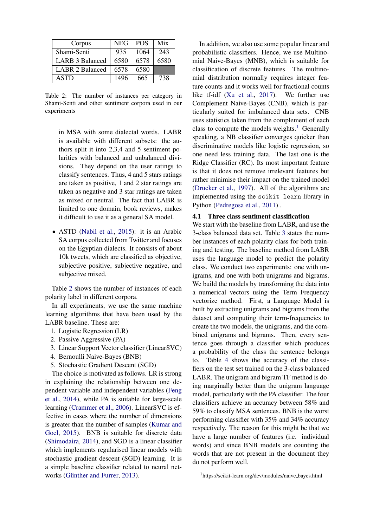<span id="page-3-0"></span>

| Corpus          | <b>NEG</b> | <b>POS</b> | Mix  |
|-----------------|------------|------------|------|
| Shami-Senti     | 935        | 1064       | 243  |
| LARB 3 Balanced | 6580       | 6578       | 6580 |
| LABR 2 Balanced | 6578       | 6580       |      |
| <b>ASTD</b>     | 1496       | 665        | 738  |

Table 2: The number of instances per category in Shami-Senti and other sentiment corpora used in our experiments

in MSA with some dialectal words. LABR is available with different subsets: the authors split it into 2,3,4 and 5 sentiment polarities with balanced and unbalanced divisions. They depend on the user ratings to classify sentences. Thus, 4 and 5 stars ratings are taken as positive, 1 and 2 star ratings are taken as negative and 3 star ratings are taken as mixed or neutral. The fact that LABR is limited to one domain, book reviews, makes it difficult to use it as a general SA model.

• ASTD [\(Nabil et al.,](#page-9-14) [2015\)](#page-9-14): it is an Arabic SA corpus collected from Twitter and focuses on the Egyptian dialects. It consists of about 10k tweets, which are classified as objective, subjective positive, subjective negative, and subjective mixed.

Table [2](#page-3-0) shows the number of instances of each polarity label in different corpora.

In all experiments, we use the same machine learning algorithms that have been used by the LABR baseline. These are:

- 1. Logistic Regression (LR)
- 2. Passive Aggressive (PA)
- 3. Linear Support Vector classifier (LinearSVC)
- 4. Bernoulli Naive-Bayes (BNB)
- 5. Stochastic Gradient Descent (SGD)

The choice is motivated as follows. LR is strong in explaining the relationship between one dependent variable and independent variables [\(Feng](#page-9-15) [et al.,](#page-9-15) [2014\)](#page-9-15), while PA is suitable for large-scale learning [\(Crammer et al.,](#page-8-19) [2006\)](#page-8-19). LinearSVC is effective in cases where the number of dimensions is greater than the number of samples [\(Kumar and](#page-9-16) [Goel,](#page-9-16) [2015\)](#page-9-16). BNB is suitable for discrete data [\(Shimodaira,](#page-9-17) [2014\)](#page-9-17), and SGD is a linear classifier which implements regularised linear models with stochastic gradient descent (SGD) learning. It is a simple baseline classifier related to neural net-works (Günther and Furrer, [2013\)](#page-9-18).

In addition, we also use some popular linear and probabilistic classifiers. Hence, we use Multinomial Naive-Bayes (MNB), which is suitable for classification of discrete features. The multinomial distribution normally requires integer feature counts and it works well for fractional counts like tf-idf [\(Xu et al.,](#page-10-2) [2017\)](#page-10-2). We further use Complement Naive-Bayes (CNB), which is particularly suited for imbalanced data sets. CNB uses statistics taken from the complement of each class to compute the models weights.<sup>[1](#page-3-1)</sup> Generally speaking, a NB classifier converges quicker than discriminative models like logistic regression, so one need less training data. The last one is the Ridge Classifier (RC). Its most important feature is that it does not remove irrelevant features but rather minimise their impact on the trained model [\(Drucker et al.,](#page-8-20) [1997\)](#page-8-20). All of the algorithms are implemented using the scikit learn library in Python [\(Pedregosa et al.,](#page-9-19) [2011\)](#page-9-19) .

# 4.1 Three class sentiment classification

We start with the baseline from LABR, and use the 3-class balanced data set. Table [3](#page-4-0) states the number instances of each polarity class for both training and testing. The baseline method from LABR uses the language model to predict the polarity class. We conduct two experiments: one with unigrams, and one with both unigrams and bigrams. We build the models by transforming the data into a numerical vectors using the Term Frequency vectorize method. First, a Language Model is built by extracting unigrams and bigrams from the dataset and computing their term-frequencies to create the two models, the unigrams, and the combined unigrams and bigrams. Then, every sentence goes through a classifier which produces a probability of the class the sentence belongs to. Table [4](#page-4-1) shows the accuracy of the classifiers on the test set trained on the 3-class balanced LABR. The unigram and bigram TF method is doing marginally better than the unigram language model, particularly with the PA classifier. The four classifiers achieve an accuracy between 58% and 59% to classify MSA sentences. BNB is the worst performing classifier with 35% and 34% accuracy respectively. The reason for this might be that we have a large number of features (i.e. individual words) and since BNB models are counting the words that are not present in the document they do not perform well.

<span id="page-3-1"></span><sup>&</sup>lt;sup>1</sup>https://scikit-learn.org/dev/modules/naive\_bayes.html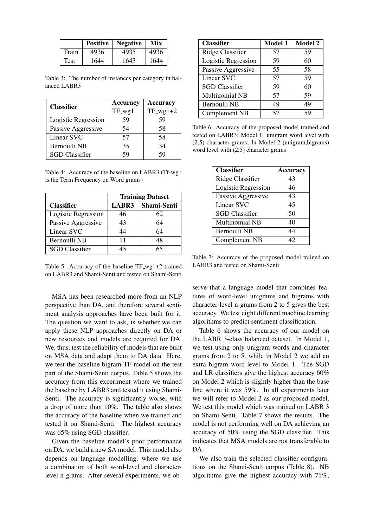<span id="page-4-0"></span>

|             | Positive | <b>Negative</b> | Mix  |
|-------------|----------|-----------------|------|
| Train       | 4936     | 4935            | 4936 |
| <b>Test</b> | 1644     | 1643            | 1644 |

Table 3: The number of instances per category in balanced LABR3

<span id="page-4-1"></span>

| <b>Classifier</b>     | <b>Accuracy</b> | <b>Accuracy</b> |
|-----------------------|-----------------|-----------------|
|                       | $TF_wg1$        | $TF_wg1+2$      |
| Logistic Regression   | 59              | 59              |
| Passive Aggressive    | 54              | 58              |
| Linear SVC            | 57              | 58              |
| Bernoulli NB          | 35              | 34              |
| <b>SGD</b> Classifier | 59              | 59              |

Table 4: Accuracy of the baseline on LABR3 (Tf-wg : is the Term Frequency on Word grams)

<span id="page-4-2"></span>

|                       | <b>Training Dataset</b> |             |  |
|-----------------------|-------------------------|-------------|--|
| <b>Classifier</b>     | LABR3                   | Shami-Senti |  |
| Logistic Regression   | 46                      | 62          |  |
| Passive Aggressive    | 43                      | 64          |  |
| Linear SVC            | 44                      | 64          |  |
| Bernoulli NB          | 11                      | 48          |  |
| <b>SGD</b> Classifier | 45                      | 65          |  |

Table 5: Accuracy of the baseline TF\_wg1+2 trained on LABR3 and Shami-Senti and tested on Shami-Senti

MSA has been researched more from an NLP perspective than DA, and therefore several sentiment analysis approaches have been built for it. The question we want to ask, is whether we can apply these NLP approaches directly on DA or new resources and models are required for DA. We, thus, test the reliability of models that are built on MSA data and adapt them to DA data. Here, we test the baseline bigram TF model on the test part of the Shami-Senti corpus. Table [5](#page-4-2) shows the accuracy from this experiment where we trained the baseline by LABR3 and tested it using Shami-Senti. The accuracy is significantly worse, with a drop of more than 10%. The table also shows the accuracy of the baseline when we trained and tested it on Shami-Senti. The highest accuracy was 65% using SGD classifier.

Given the baseline model's poor performance on DA, we build a new SA model. This model also depends on language modelling, where we use a combination of both word-level and characterlevel n-grams. After several experiments, we ob-

<span id="page-4-3"></span>

| <b>Classifier</b>     | <b>Model 1</b> | <b>Model 2</b> |
|-----------------------|----------------|----------------|
| Ridge Classifier      | 57             | 59             |
| Logistic Regression   | 59             | 60             |
| Passive Aggressive    | 55             | 58             |
| Linear SVC            | 57             | 59             |
| <b>SGD</b> Classifier | 59             | 60             |
| <b>Multinomial NB</b> | 57             | 59             |
| Bernoulli NB          | 49             | 49             |
| Complement NB         | 57             | 59             |

Table 6: Accuracy of the proposed model trained and tested on LABR3; Model 1: unigram word level with (2,5) character grams; In Model 2 (unigram,bigrams) word level with (2,5) character grams

<span id="page-4-4"></span>

| <b>Classifier</b>     | <b>Accuracy</b> |
|-----------------------|-----------------|
| Ridge Classifier      | 43              |
| Logistic Regression   | 46              |
| Passive Aggressive    | 43              |
| Linear SVC            | 45              |
| <b>SGD</b> Classifier | 50              |
| <b>Multinomial NB</b> | 40              |
| <b>Bernoulli NB</b>   | 44              |
| <b>Complement NB</b>  | 42              |

Table 7: Accuracy of the proposed model trained on LABR3 and tested on Shami-Senti

serve that a language model that combines features of word-level unigrams and bigrams with character-level n-grams from 2 to 5 gives the best accuracy. We test eight different machine learning algorithms to predict sentiment classification.

Table [6](#page-4-3) shows the accuracy of our model on the LABR 3-class balanced dataset. In Model 1, we test using only unigram words and character grams from 2 to 5, while in Model 2 we add an extra bigram word-level to Model 1. The SGD and LR classifiers give the highest accuracy 60% on Model 2 which is slightly higher than the base line where it was 59%. In all experiments later we will refer to Model 2 as our proposed model. We test this model which was trained on LABR 3 on Shami-Senti. Table [7](#page-4-4) shows the results. The model is not performing well on DA achieving an accuracy of 50% using the SGD classifier. This indicates that MSA models are not transferable to DA.

We also train the selected classifier configurations on the Shami-Senti corpus (Table [8\)](#page-5-0). NB algorithms give the highest accuracy with 71%,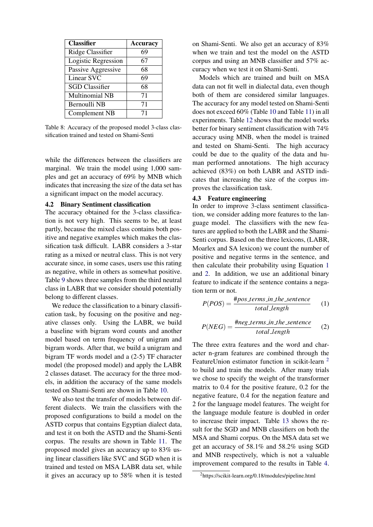<span id="page-5-0"></span>

| <b>Classifier</b>     | <b>Accuracy</b> |
|-----------------------|-----------------|
| Ridge Classifier      | 69              |
| Logistic Regression   | 67              |
| Passive Aggressive    | 68              |
| <b>Linear SVC</b>     | 69              |
| <b>SGD</b> Classifier | 68              |
| Multinomial NB        | 71              |
| Bernoulli NB          | 71              |
| Complement NB         | 71              |

Table 8: Accuracy of the proposed model 3-class classification trained and tested on Shami-Senti

while the differences between the classifiers are marginal. We train the model using 1,000 samples and get an accuracy of 69% by MNB which indicates that increasing the size of the data set has a significant impact on the model accuracy.

# 4.2 Binary Sentiment classification

The accuracy obtained for the 3-class classification is not very high. This seems to be, at least partly, because the mixed class contains both positive and negative examples which makes the classification task difficult. LABR considers a 3-star rating as a mixed or neutral class. This is not very accurate since, in some cases, users use this rating as negative, while in others as somewhat positive. Table [9](#page-6-0) shows three samples from the third neutral class in LABR that we consider should potentially belong to different classes.

We reduce the classification to a binary classification task, by focusing on the positive and negative classes only. Using the LABR, we build a baseline with bigram word counts and another model based on term frequency of unigram and bigram words. After that, we build a unigram and bigram TF words model and a (2-5) TF character model (the proposed model) and apply the LABR 2 classes dataset. The accuracy for the three models, in addition the accuracy of the same models tested on Shami-Senti are shown in Table [10.](#page-6-1)

We also test the transfer of models between different dialects. We train the classifiers with the proposed configurations to build a model on the ASTD corpus that contains Egyptian dialect data, and test it on both the ASTD and the Shami-Senti corpus. The results are shown in Table [11.](#page-6-2) The proposed model gives an accuracy up to 83% using linear classifiers like SVC and SGD when it is trained and tested on MSA LABR data set, while it gives an accuracy up to 58% when it is tested

on Shami-Senti. We also get an accuracy of 83% when we train and test the model on the ASTD corpus and using an MNB classifier and 57% accuracy when we test it on Shami-Senti.

Models which are trained and built on MSA data can not fit well in dialectal data, even though both of them are considered similar languages. The accuracy for any model tested on Shami-Senti does not exceed 60% (Table [10](#page-6-1) and Table [11\)](#page-6-2) in all experiments. Table [12](#page-6-3) shows that the model works better for binary sentiment classification with 74% accuracy using MNB, when the model is trained and tested on Shami-Senti. The high accuracy could be due to the quality of the data and human performed annotations. The high accuracy achieved (83%) on both LABR and ASTD indicates that increasing the size of the corpus improves the classification task.

# 4.3 Feature engineering

In order to improve 3-class sentiment classification, we consider adding more features to the language model. The classifiers with the new features are applied to both the LABR and the Shami-Senti corpus. Based on the three lexicons, (LABR, Moarlex and SA lexicon) we count the number of positive and negative terms in the sentence, and then calculate their probability using Equation [1](#page-5-1) and [2.](#page-5-2) In addition, we use an additional binary feature to indicate if the sentence contains a negation term or not.

<span id="page-5-1"></span>
$$
P(POS) = \frac{\#pos \text{ terms} \_in \_the \_sentence}{total \_length} \tag{1}
$$

<span id="page-5-2"></span>
$$
P(NEG) = \frac{\#neg\text{ terms_in\_the\_sentence}}{\text{total\_length}} \tag{2}
$$

The three extra features and the word and character n-gram features are combined through the FeatureUnion estimator function in scikit-learn <sup>[2](#page-5-3)</sup> to build and train the models. After many trials we chose to specify the weight of the transformer matrix to 0.4 for the positive feature, 0.2 for the negative feature, 0.4 for the negation feature and 2 for the language model features. The weight for the language module feature is doubled in order to increase their impact. Table [13](#page-7-0) shows the result for the SGD and MNB classifiers on both the MSA and Shami corpus. On the MSA data set we get an accuracy of 58.1% and 58.2% using SGD and MNB respectively, which is not a valuable improvement compared to the results in Table [4.](#page-4-1)

<span id="page-5-3"></span><sup>2</sup>https://scikit-learn.org/0.18/modules/pipeline.html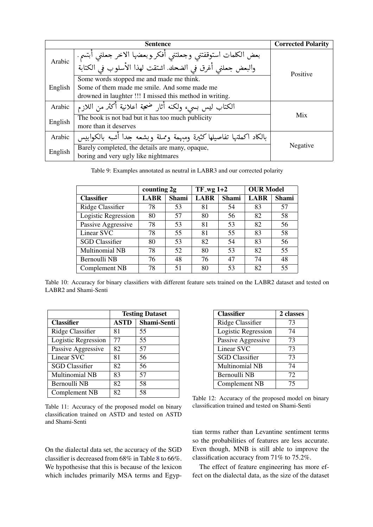<span id="page-6-0"></span>

|         | <b>Corrected Polarity</b>                                                                                                 |          |
|---------|---------------------------------------------------------------------------------------------------------------------------|----------|
| Arabic  | بعض الكلمات استوقفتني وجعلتني أفكر وبعضها الاخر جعلني أبتسم.<br>والبعض جعلني أغرق في الضحك. اشتقت لهذا الأسلوب فى الكتابة | Positive |
|         | Some words stopped me and made me think.                                                                                  |          |
| English | Some of them made me smile. And some made me                                                                              |          |
|         | drowned in laughter !!! I missed this method in writing.                                                                  |          |
| Arabic  | الكتاب ليس بسيء ولكنه أثار ضحة اعلانية أكثر من اللازم                                                                     |          |
| English | The book is not bad but it has too much publicity                                                                         | Mix      |
|         | more than it deserves                                                                                                     |          |
| Arabic  | بالكاد اكملتها تفاصيلها كثيرة ومبهمة ومملة وبشعه جدا أشبه بالكوابيس                                                       |          |
| English | Barely completed, the details are many, opaque,                                                                           | Negative |
|         | boring and very ugly like nightmares                                                                                      |          |

Table 9: Examples annotated as neutral in LABR3 and our corrected polarity

<span id="page-6-1"></span>

|                       | counting 2g |       | $TF_{avg}$ 1+2 |              | <b>OUR Model</b> |       |
|-----------------------|-------------|-------|----------------|--------------|------------------|-------|
| <b>Classifier</b>     | LABR        | Shami | <b>LABR</b>    | <b>Shami</b> | <b>LABR</b>      | Shami |
| Ridge Classifier      | 78          | 53    | 81             | 54           | 83               | 57    |
| Logistic Regression   | 80          | 57    | 80             | 56           | 82               | 58    |
| Passive Aggressive    | 78          | 53    | 81             | 53           | 82               | 56    |
| Linear SVC            | 78          | 55    | 81             | 55           | 83               | 58    |
| <b>SGD</b> Classifier | 80          | 53    | 82             | 54           | 83               | 56    |
| <b>Multinomial NB</b> | 78          | 52    | 80             | 53           | 82               | 55    |
| Bernoulli NB          | 76          | 48    | 76             | 47           | 74               | 48    |
| Complement NB         | 78          | 51    | 80             | 53           | 82               | 55    |

Table 10: Accuracy for binary classifiers with different feature sets trained on the LABR2 dataset and tested on LABR2 and Shami-Senti

<span id="page-6-2"></span>

|                       | <b>Testing Dataset</b> |             |  |
|-----------------------|------------------------|-------------|--|
| <b>Classifier</b>     | <b>ASTD</b>            | Shami-Senti |  |
| Ridge Classifier      | 81                     | 55          |  |
| Logistic Regression   | 77                     | 55          |  |
| Passive Aggressive    | 82                     | 57          |  |
| Linear SVC            | 81                     | 56          |  |
| <b>SGD</b> Classifier | 82                     | 56          |  |
| <b>Multinomial NB</b> | 83                     | 57          |  |
| Bernoulli NB          | 82                     | 58          |  |
| Complement NB         | 82                     | 58          |  |

Table 11: Accuracy of the proposed model on binary classification trained on ASTD and tested on ASTD and Shami-Senti

On the dialectal data set, the accuracy of the SGD classifier is decreased from 68% in Table [8](#page-5-0) to 66%. We hypothesise that this is because of the lexicon which includes primarily MSA terms and Egyp-

<span id="page-6-3"></span>

| <b>Classifier</b>     | 2 classes |
|-----------------------|-----------|
| Ridge Classifier      | 73        |
| Logistic Regression   | 74        |
| Passive Aggressive    | 73        |
| Linear SVC            | 73        |
| <b>SGD</b> Classifier | 73        |
| Multinomial NB        | 74        |
| Bernoulli NB          | 72        |
| Complement NB         | 75        |

Table 12: Accuracy of the proposed model on binary classification trained and tested on Shami-Senti

tian terms rather than Levantine sentiment terms so the probabilities of features are less accurate. Even though, MNB is still able to improve the classification accuracy from 71% to 75.2%.

The effect of feature engineering has more effect on the dialectal data, as the size of the dataset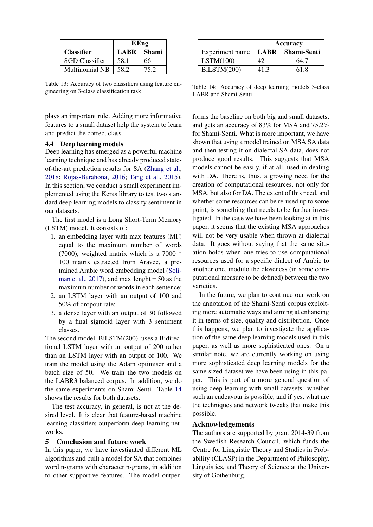<span id="page-7-0"></span>

|                   | <b>F.Eng</b>   |      |
|-------------------|----------------|------|
| <b>Classifier</b> | $LABR$   Shami |      |
| SGD Classifier    | 58.1           | 66   |
| Multinomial NB    | 58.2           | 75.2 |

Table 13: Accuracy of two classifiers using feature engineering on 3-class classification task

plays an important rule. Adding more informative features to a small dataset help the system to learn and predict the correct class.

#### 4.4 Deep learning models

Deep learning has emerged as a powerful machine learning technique and has already produced stateof-the-art prediction results for SA [\(Zhang et al.,](#page-10-3) [2018;](#page-10-3) [Rojas-Barahona,](#page-9-20) [2016;](#page-9-20) [Tang et al.,](#page-9-21) [2015\)](#page-9-21). In this section, we conduct a small experiment implemented using the Keras library to test two standard deep learning models to classify sentiment in our datasets.

The first model is a Long Short-Term Memory (LSTM) model. It consists of:

- 1. an embedding layer with max features (MF) equal to the maximum number of words (7000), weighted matrix which is a 7000 \* 100 matrix extracted from Aravec, a pretrained Arabic word embedding model [\(Soli](#page-9-22)[man et al.,](#page-9-22)  $2017$ ), and max lenght = 50 as the maximum number of words in each sentence;
- 2. an LSTM layer with an output of 100 and 50% of dropout rate;
- 3. a dense layer with an output of 30 followed by a final sigmoid layer with 3 sentiment classes.

The second model, BiLSTM(200), uses a Bidirectional LSTM layer with an output of 200 rather than an LSTM layer with an output of 100. We train the model using the Adam optimiser and a batch size of 50. We train the two models on the LABR3 balanced corpus. In addition, we do the same experiments on Shami-Senti. Table [14](#page-7-1) shows the results for both datasets.

The test accuracy, in general, is not at the desired level. It is clear that feature-based machine learning classifiers outperform deep learning networks.

## 5 Conclusion and future work

In this paper, we have investigated different ML algorithms and built a model for SA that combines word n-grams with character n-grams, in addition to other supportive features. The model outper-

<span id="page-7-1"></span>

|                 | Accuracy    |             |
|-----------------|-------------|-------------|
| Experiment name | <b>LABR</b> | Shami-Senti |
| LSTM(100)       | 42          | 64.7        |
| BiLSTM(200)     | 41.3        | 61.8        |

Table 14: Accuracy of deep learning models 3-class LABR and Shami-Senti

forms the baseline on both big and small datasets, and gets an accuracy of 83% for MSA and 75.2% for Shami-Senti. What is more important, we have shown that using a model trained on MSA SA data and then testing it on dialectal SA data, does not produce good results. This suggests that MSA models cannot be easily, if at all, used in dealing with DA. There is, thus, a growing need for the creation of computational resources, not only for MSA, but also for DA. The extent of this need, and whether some resources can be re-used up to some point, is something that needs to be further investigated. In the case we have been looking at in this paper, it seems that the existing MSA approaches will not be very usable when thrown at dialectal data. It goes without saying that the same situation holds when one tries to use computational resources used for a specific dialect of Arabic to another one, modulo the closeness (in some computational measure to be defined) between the two varieties.

In the future, we plan to continue our work on the annotation of the Shami-Senti corpus exploiting more automatic ways and aiming at enhancing it in terms of size, quality and distribution. Once this happens, we plan to investigate the application of the same deep learning models used in this paper, as well as more sophisticated ones. On a similar note, we are currently working on using more sophisticated deep learning models for the same sized dataset we have been using in this paper. This is part of a more general question of using deep learning with small datasets: whether such an endeavour is possible, and if yes, what are the techniques and network tweaks that make this possible.

# Acknowledgements

The authors are supported by grant 2014-39 from the Swedish Research Council, which funds the Centre for Linguistic Theory and Studies in Probability (CLASP) in the Department of Philosophy, Linguistics, and Theory of Science at the University of Gothenburg.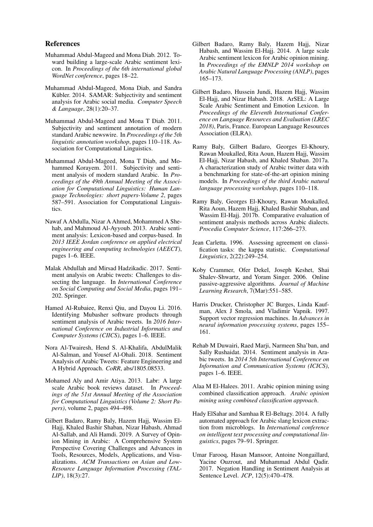## References

- <span id="page-8-11"></span>Muhammad Abdul-Mageed and Mona Diab. 2012. Toward building a large-scale Arabic sentiment lexicon. In *Proceedings of the 6th international global WordNet conference*, pages 18–22.
- <span id="page-8-13"></span>Muhammad Abdul-Mageed, Mona Diab, and Sandra Kübler. 2014. SAMAR: Subjectivity and sentiment analysis for Arabic social media. *Computer Speech & Language*, 28(1):20–37.
- <span id="page-8-1"></span>Muhammad Abdul-Mageed and Mona T Diab. 2011. Subjectivity and sentiment annotation of modern standard Arabic newswire. In *Proceedings of the 5th linguistic annotation workshop*, pages 110–118. Association for Computational Linguistics.
- <span id="page-8-0"></span>Muhammad Abdul-Mageed, Mona T Diab, and Mohammed Korayem. 2011. Subjectivity and sentiment analysis of modern standard Arabic. In *Proceedings of the 49th Annual Meeting of the Association for Computational Linguistics: Human Language Technologies: short papers-Volume 2*, pages 587–591. Association for Computational Linguistics.
- <span id="page-8-15"></span>Nawaf A Abdulla, Nizar A Ahmed, Mohammed A Shehab, and Mahmoud Al-Ayyoub. 2013. Arabic sentiment analysis: Lexicon-based and corpus-based. In *2013 IEEE Jordan conference on applied electrical engineering and computing technologies (AEECT)*, pages 1–6. IEEE.
- <span id="page-8-3"></span>Malak Abdullah and Mirsad Hadzikadic. 2017. Sentiment analysis on Arabic tweets: Challenges to dissecting the language. In *International Conference on Social Computing and Social Media*, pages 191– 202. Springer.
- <span id="page-8-14"></span>Hamed Al-Rubaiee, Renxi Qiu, and Dayou Li. 2016. Identifying Mubasher software products through sentiment analysis of Arabic tweets. In *2016 International Conference on Industrial Informatics and Computer Systems (CIICS)*, pages 1–6. IEEE.
- <span id="page-8-7"></span>Nora Al-Twairesh, Hend S. Al-Khalifa, AbdulMalik Al-Salman, and Yousef Al-Ohali. 2018. Sentiment Analysis of Arabic Tweets: Feature Engineering and A Hybrid Approach. *CoRR*, abs/1805.08533.
- <span id="page-8-16"></span>Mohamed Aly and Amir Atiya. 2013. Labr: A large scale Arabic book reviews dataset. In *Proceedings of the 51st Annual Meeting of the Association for Computational Linguistics (Volume 2: Short Papers)*, volume 2, pages 494–498.
- <span id="page-8-2"></span>Gilbert Badaro, Ramy Baly, Hazem Hajj, Wassim El-Hajj, Khaled Bashir Shaban, Nizar Habash, Ahmad Al-Sallab, and Ali Hamdi. 2019. A Survey of Opinion Mining in Arabic: A Comprehensive System Perspective Covering Challenges and Advances in Tools, Resources, Models, Applications, and Visualizations. *ACM Transactions on Asian and Low-Resource Language Information Processing (TAL-LIP)*, 18(3):27.
- <span id="page-8-10"></span>Gilbert Badaro, Ramy Baly, Hazem Hajj, Nizar Habash, and Wassim El-Hajj. 2014. A large scale Arabic sentiment lexicon for Arabic opinion mining. In *Proceedings of the EMNLP 2014 workshop on Arabic Natural Language Processing (ANLP)*, pages 165–173.
- <span id="page-8-12"></span>Gilbert Badaro, Hussein Jundi, Hazem Hajj, Wassim El-Hajj, and Nizar Habash. 2018. ArSEL: A Large Scale Arabic Sentiment and Emotion Lexicon. In *Proceedings of the Eleventh International Conference on Language Resources and Evaluation (LREC 2018)*, Paris, France. European Language Resources Association (ELRA).
- <span id="page-8-8"></span>Ramy Baly, Gilbert Badaro, Georges El-Khoury, Rawan Moukalled, Rita Aoun, Hazem Hajj, Wassim El-Hajj, Nizar Habash, and Khaled Shaban. 2017a. A characterization study of Arabic twitter data with a benchmarking for state-of-the-art opinion mining models. In *Proceedings of the third Arabic natural language processing workshop*, pages 110–118.
- <span id="page-8-9"></span>Ramy Baly, Georges El-Khoury, Rawan Moukalled, Rita Aoun, Hazem Hajj, Khaled Bashir Shaban, and Wassim El-Hajj. 2017b. Comparative evaluation of sentiment analysis methods across Arabic dialects. *Procedia Computer Science*, 117:266–273.
- <span id="page-8-18"></span>Jean Carletta. 1996. Assessing agreement on classification tasks: the kappa statistic. *Computational Linguistics*, 2(22):249–254.
- <span id="page-8-19"></span>Koby Crammer, Ofer Dekel, Joseph Keshet, Shai Shalev-Shwartz, and Yoram Singer. 2006. Online passive-aggressive algorithms. *Journal of Machine Learning Research*, 7(Mar):551–585.
- <span id="page-8-20"></span>Harris Drucker, Christopher JC Burges, Linda Kaufman, Alex J Smola, and Vladimir Vapnik. 1997. Support vector regression machines. In *Advances in neural information processing systems*, pages 155– 161.
- <span id="page-8-6"></span>Rehab M Duwairi, Raed Marji, Narmeen Sha'ban, and Sally Rushaidat. 2014. Sentiment analysis in Arabic tweets. In *2014 5th International Conference on Information and Communication Systems (ICICS)*, pages 1–6. IEEE.
- <span id="page-8-5"></span>Alaa M El-Halees. 2011. Arabic opinion mining using combined classification approach. *Arabic opinion mining using combined classification approach*.
- <span id="page-8-17"></span>Hady ElSahar and Samhaa R El-Beltagy. 2014. A fully automated approach for Arabic slang lexicon extraction from microblogs. In *International conference on intelligent text processing and computational linguistics*, pages 79–91. Springer.
- <span id="page-8-4"></span>Umar Farooq, Hasan Mansoor, Antoine Nongaillard, Yacine Ouzrout, and Muhammad Abdul Qadir. 2017. Negation Handling in Sentiment Analysis at Sentence Level. *JCP*, 12(5):470–478.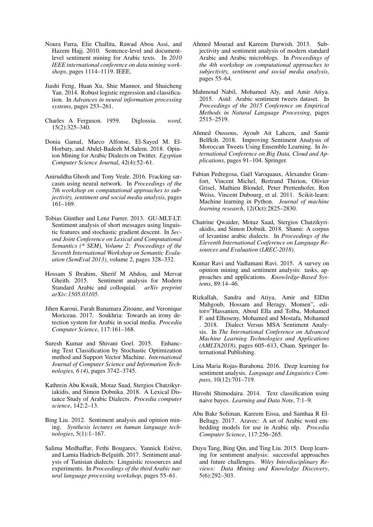- <span id="page-9-8"></span>Noura Farra, Elie Challita, Rawad Abou Assi, and Hazem Hajj. 2010. Sentence-level and documentlevel sentiment mining for Arabic texts. In *2010 IEEE international conference on data mining workshops*, pages 1114–1119. IEEE.
- <span id="page-9-15"></span>Jiashi Feng, Huan Xu, Shie Mannor, and Shuicheng Yan. 2014. Robust logistic regression and classification. In *Advances in neural information processing systems*, pages 253–261.
- <span id="page-9-3"></span>Charles A Ferguson. 1959. Diglossia. *word*, 15(2):325–340.
- <span id="page-9-9"></span>Donia Gamal, Marco Alfonse, El-Sayed M. El-Horbaty, and Abdel-Badeeh M.Salem. 2018. Opinion Mining for Arabic Dialects on Twitter. *Egyptian Computer Science Journal*, 42(4):52–61.
- <span id="page-9-7"></span>Aniruddha Ghosh and Tony Veale. 2016. Fracking sarcasm using neural network. In *Proceedings of the 7th workshop on computational approaches to subjectivity, sentiment and social media analysis*, pages 161–169.
- <span id="page-9-18"></span>Tobias Günther and Lenz Furrer. 2013. GU-MLT-LT: Sentiment analysis of short messages using linguistic features and stochastic gradient descent. In *Second Joint Conference on Lexical and Computational Semantics (\* SEM), Volume 2: Proceedings of the Seventh International Workshop on Semantic Evaluation (SemEval 2013)*, volume 2, pages 328–332.
- <span id="page-9-0"></span>Hossam S Ibrahim, Sherif M Abdou, and Mervat Gheith. 2015. Sentiment analysis for Modern Standard Arabic and colloquial. *arXiv preprint arXiv:1505.03105*.
- <span id="page-9-13"></span>Jihen Karoui, Farah Banamara Zitoune, and Veronique Moriceau. 2017. Soukhria: Towards an irony detection system for Arabic in social media. *Procedia Computer Science*, 117:161–168.
- <span id="page-9-16"></span>Suresh Kumar and Shivani Goel. 2015. Enhancing Text Classification by Stochastic Optimization method and Support Vector Machine. *International Journal of Computer Science and Information Technologies, 6 (4)*, pages 3742–3745.
- <span id="page-9-2"></span>Kathrein Abu Kwaik, Motaz Saad, Stergios Chatzikyriakidis, and Simon Dobnika. 2018. A Lexical Distance Study of Arabic Dialects. *Procedia computer science*, 142:2–13.
- <span id="page-9-5"></span>Bing Liu. 2012. Sentiment analysis and opinion mining. *Synthesis lectures on human language technologies*, 5(1):1–167.
- <span id="page-9-11"></span>Salima Medhaffar, Fethi Bougares, Yannick Estève, and Lamia Hadrich-Belguith. 2017. Sentiment analysis of Tunisian dialects: Linguistic ressources and experiments. In *Proceedings of the third Arabic natural language processing workshop*, pages 55–61.
- <span id="page-9-1"></span>Ahmed Mourad and Kareem Darwish. 2013. Subjectivity and sentiment analysis of modern standard Arabic and Arabic microblogs. In *Proceedings of the 4th workshop on computational approaches to subjectivity, sentiment and social media analysis*, pages 55–64.
- <span id="page-9-14"></span>Mahmoud Nabil, Mohamed Aly, and Amir Atiya. 2015. Astd: Arabic sentiment tweets dataset. In *Proceedings of the 2015 Conference on Empirical Methods in Natural Language Processing*, pages 2515–2519.
- <span id="page-9-10"></span>Ahmed Oussous, Ayoub Ait Lahcen, and Samir Belfkih. 2018. Improving Sentiment Analysis of Moroccan Tweets Using Ensemble Learning. In *International Conference on Big Data, Cloud and Applications*, pages 91–104. Springer.
- <span id="page-9-19"></span>Fabian Pedregosa, Gaël Varoquaux, Alexandre Gramfort, Vincent Michel, Bertrand Thirion, Olivier Grisel, Mathieu Blondel, Peter Prettenhofer, Ron Weiss, Vincent Dubourg, et al. 2011. Scikit-learn: Machine learning in Python. *Journal of machine learning research*, 12(Oct):2825–2830.
- <span id="page-9-4"></span>Chatrine Qwaider, Motaz Saad, Stergios Chatzikyriakidis, and Simon Dobnik. 2018. Shami: A corpus of levantine arabic dialects. In *Proceedings of the Eleventh International Conference on Language Resources and Evaluation (LREC-2018)*.
- <span id="page-9-6"></span>Kumar Ravi and Vadlamani Ravi. 2015. A survey on opinion mining and sentiment analysis: tasks, approaches and applications. *Knowledge-Based Systems*, 89:14–46.
- <span id="page-9-12"></span>Rizkallah, Sandra and Atiya, Amir and ElDin Mahgoub, Hossam and Heragy, Momen", editor="Hassanien, Aboul Ella and Tolba, Mohamed F. and Elhoseny, Mohamed and Mostafa, Mohamed . 2018. Dialect Versus MSA Sentiment Analysis. In *The International Conference on Advanced Machine Learning Technologies and Applications (AMLTA2018)*, pages 605–613, Cham. Springer International Publishing.
- <span id="page-9-20"></span>Lina Maria Rojas-Barahona. 2016. Deep learning for sentiment analysis. *Language and Linguistics Compass*, 10(12):701–719.
- <span id="page-9-17"></span>Hiroshi Shimodaira. 2014. Text classification using naive bayes. *Learning and Data Note*, 7:1–9.
- <span id="page-9-22"></span>Abu Bakr Soliman, Kareem Eissa, and Samhaa R El-Beltagy. 2017. Aravec: A set of Arabic word embedding models for use in Arabic nlp. *Procedia Computer Science*, 117:256–265.
- <span id="page-9-21"></span>Duyu Tang, Bing Qin, and Ting Liu. 2015. Deep learning for sentiment analysis: successful approaches and future challenges. *Wiley Interdisciplinary Reviews: Data Mining and Knowledge Discovery*, 5(6):292–303.